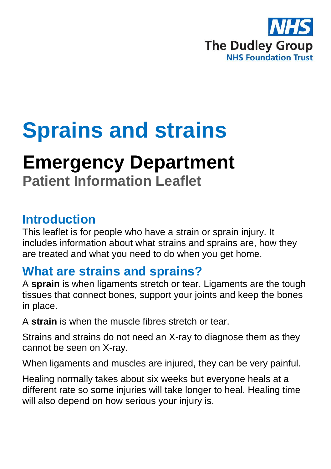

# **Sprains and strains**

## **Emergency Department Patient Information Leaflet**

#### **Introduction**

This leaflet is for people who have a strain or sprain injury. It includes information about what strains and sprains are, how they are treated and what you need to do when you get home.

## **What are strains and sprains?**

A **sprain** is when ligaments stretch or tear. Ligaments are the tough tissues that connect bones, support your joints and keep the bones in place.

A **strain** is when the muscle fibres stretch or tear.

Strains and strains do not need an X-ray to diagnose them as they cannot be seen on X-ray.

When ligaments and muscles are injured, they can be very painful.

Healing normally takes about six weeks but everyone heals at a different rate so some injuries will take longer to heal. Healing time will also depend on how serious your injury is.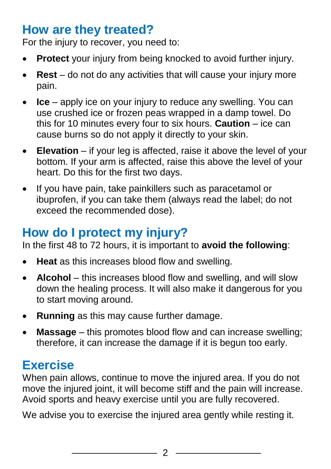## **How are they treated?**

For the injury to recover, you need to:

- **Protect** your injury from being knocked to avoid further injury.
- **Rest** do not do any activities that will cause your injury more pain.
- **Ice** apply ice on your injury to reduce any swelling. You can use crushed ice or frozen peas wrapped in a damp towel. Do this for 10 minutes every four to six hours. **Caution** – ice can cause burns so do not apply it directly to your skin.
- **Elevation** if your leg is affected, raise it above the level of your bottom. If your arm is affected, raise this above the level of your heart. Do this for the first two days.
- If you have pain, take painkillers such as paracetamol or ibuprofen, if you can take them (always read the label; do not exceed the recommended dose).

## **How do I protect my injury?**

In the first 48 to 72 hours, it is important to **avoid the following**:

- **Heat** as this increases blood flow and swelling.
- **Alcohol** this increases blood flow and swelling, and will slow down the healing process. It will also make it dangerous for you to start moving around.
- **Running** as this may cause further damage.
- **Massage** this promotes blood flow and can increase swelling; therefore, it can increase the damage if it is begun too early.

## **Exercise**

When pain allows, continue to move the injured area. If you do not move the injured joint, it will become stiff and the pain will increase. Avoid sports and heavy exercise until you are fully recovered.

We advise you to exercise the injured area gently while resting it.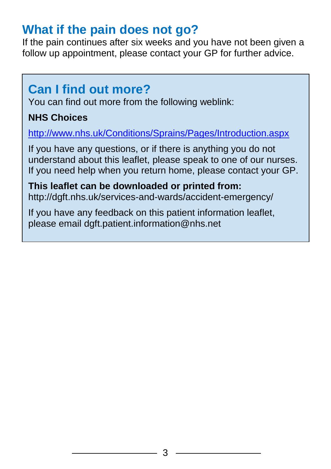## **What if the pain does not go?**

If the pain continues after six weeks and you have not been given a follow up appointment, please contact your GP for further advice.

### **Can I find out more?**

You can find out more from the following weblink:

#### **NHS Choices**

<http://www.nhs.uk/Conditions/Sprains/Pages/Introduction.aspx>

If you have any questions, or if there is anything you do not understand about this leaflet, please speak to one of our nurses. If you need help when you return home, please contact your GP.

**This leaflet can be downloaded or printed from:** http://dgft.nhs.uk/services-and-wards/accident-emergency/

If you have any feedback on this patient information leaflet, please email dgft.patient.information@nhs.net